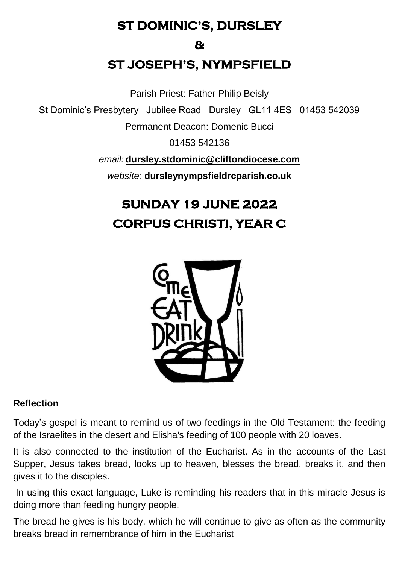# **ST DOMINIC'S, DURSLEY**

**&** 

# **ST JOSEPH'S, NYMPSFIELD**

Parish Priest: Father Philip Beisly

St Dominic's Presbytery Jubilee Road Dursley GL11 4ES 01453 542039

Permanent Deacon: Domenic Bucci

01453 542136

*email:* **[dursley.stdominic@cliftondiocese.com](mailto:dursley.stdominic@cliftondiocese.com)**

*website:* **dursleynympsfieldrcparish.co.uk**

# **SUNDAY 19 JUNE 2022 CORPUS CHRISTI, YEAR C**



#### **Reflection**

Today's gospel is meant to remind us of two feedings in the Old Testament: the feeding of the Israelites in the desert and Elisha's feeding of 100 people with 20 loaves.

It is also connected to the institution of the Eucharist. As in the accounts of the Last Supper, Jesus takes bread, looks up to heaven, blesses the bread, breaks it, and then gives it to the disciples.

In using this exact language, Luke is reminding his readers that in this miracle Jesus is doing more than feeding hungry people.

The bread he gives is his body, which he will continue to give as often as the community breaks bread in remembrance of him in the Eucharist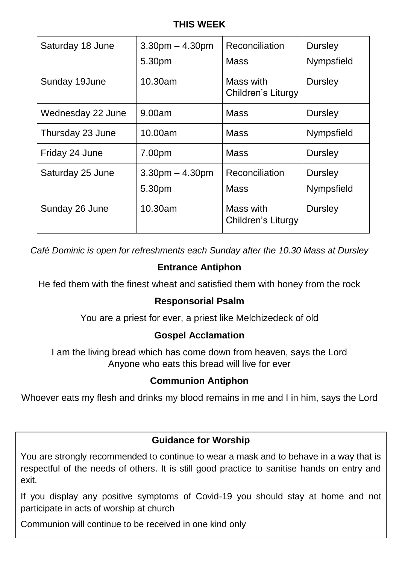#### **THIS WEEK**

| Saturday 18 June  | $3.30pm - 4.30pm$<br>5.30pm | <b>Reconciliation</b><br>Mass   | <b>Dursley</b><br>Nympsfield |
|-------------------|-----------------------------|---------------------------------|------------------------------|
| Sunday 19June     | 10.30am                     | Mass with<br>Children's Liturgy | <b>Dursley</b>               |
| Wednesday 22 June | 9.00am                      | <b>Mass</b>                     | <b>Dursley</b>               |
| Thursday 23 June  | 10.00am                     | <b>Mass</b>                     | Nympsfield                   |
| Friday 24 June    | 7.00pm                      | <b>Mass</b>                     | Dursley                      |
| Saturday 25 June  | $3.30pm - 4.30pm$<br>5.30pm | Reconciliation<br><b>Mass</b>   | <b>Dursley</b><br>Nympsfield |
| Sunday 26 June    | 10.30am                     | Mass with<br>Children's Liturgy | Dursley                      |

*Café Dominic is open for refreshments each Sunday after the 10.30 Mass at Dursley* 

## **Entrance Antiphon**

He fed them with the finest wheat and satisfied them with honey from the rock

#### **Responsorial Psalm**

You are a priest for ever, a priest like Melchizedeck of old

#### **Gospel Acclamation**

I am the living bread which has come down from heaven, says the Lord Anyone who eats this bread will live for ever

#### **Communion Antiphon**

Whoever eats my flesh and drinks my blood remains in me and I in him, says the Lord

#### **Guidance for Worship**

You are strongly recommended to continue to wear a mask and to behave in a way that is respectful of the needs of others. It is still good practice to sanitise hands on entry and exit.

If you display any positive symptoms of Covid-19 you should stay at home and not participate in acts of worship at church

Communion will continue to be received in one kind only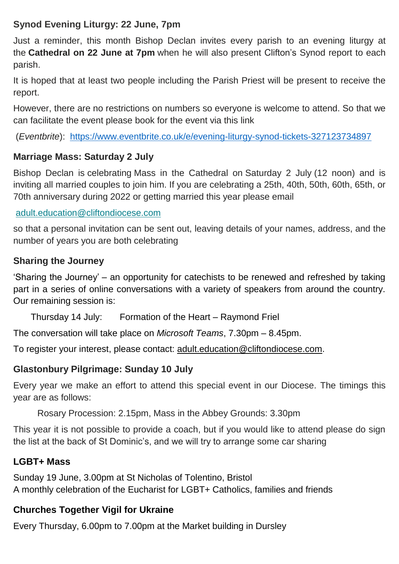## **Synod Evening Liturgy: 22 June, 7pm**

Just a reminder, this month Bishop Declan invites every parish to an evening liturgy at the **Cathedral on 22 June at 7pm** when he will also present Clifton's Synod report to each parish.

It is hoped that at least two people including the Parish Priest will be present to receive the report.

However, there are no restrictions on numbers so everyone is welcome to attend. So that we can facilitate the event please book for the event via this link

(*Eventbrite*): [https://www.eventbrite.co.uk/e/evening-liturgy-synod-tickets-327123734897](https://eur02.safelinks.protection.outlook.com/?url=https%3A%2F%2Fwww.eventbrite.co.uk%2Fe%2Fevening-liturgy-synod-tickets-327123734897&data=05%7C01%7Cdursley.stdominic%40cliftondiocese.com%7Ce3442c0eeb534e5e905608da47a0803f%7Cf10b8f13604e4fa29e1204a7fad22e94%7C0%7C0%7C637901051914408083%7CUnknown%7CTWFpbGZsb3d8eyJWIjoiMC4wLjAwMDAiLCJQIjoiV2luMzIiLCJBTiI6Ik1haWwiLCJXVCI6Mn0%3D%7C3000%7C%7C%7C&sdata=KAKoGy%2FPKZ%2FWusYGUuocotT7%2FtHvH8FP6wQo%2FiBy4x0%3D&reserved=0)

#### **Marriage Mass: Saturday 2 July**

Bishop Declan is celebrating Mass in the Cathedral on Saturday 2 July (12 noon) and is inviting all married couples to join him. If you are celebrating a 25th, 40th, 50th, 60th, 65th, or 70th anniversary during 2022 or getting married this year please email

[adult.education@cliftondiocese.com](mailto:adult.education@cliftondiocese.com)

so that a personal invitation can be sent out, leaving details of your names, address, and the number of years you are both celebrating

#### **Sharing the Journey**

'Sharing the Journey' – an opportunity for catechists to be renewed and refreshed by taking part in a series of online conversations with a variety of speakers from around the country. Our remaining session is:

Thursday 14 July: Formation of the Heart – Raymond Friel

The conversation will take place on *Microsoft Teams*, 7.30pm – 8.45pm.

To register your interest, please contact: [adult.education@cliftondiocese.com.](mailto:adult.education@cliftondiocese.com)

#### **Glastonbury Pilgrimage: Sunday 10 July**

Every year we make an effort to attend this special event in our Diocese. The timings this year are as follows:

Rosary Procession: 2.15pm, Mass in the Abbey Grounds: 3.30pm

This year it is not possible to provide a coach, but if you would like to attend please do sign the list at the back of St Dominic's, and we will try to arrange some car sharing

#### **LGBT+ Mass**

Sunday 19 June, 3.00pm at St Nicholas of Tolentino, Bristol A monthly celebration of the Eucharist for LGBT+ Catholics, families and friends

# **Churches Together Vigil for Ukraine**

Every Thursday, 6.00pm to 7.00pm at the Market building in Dursley